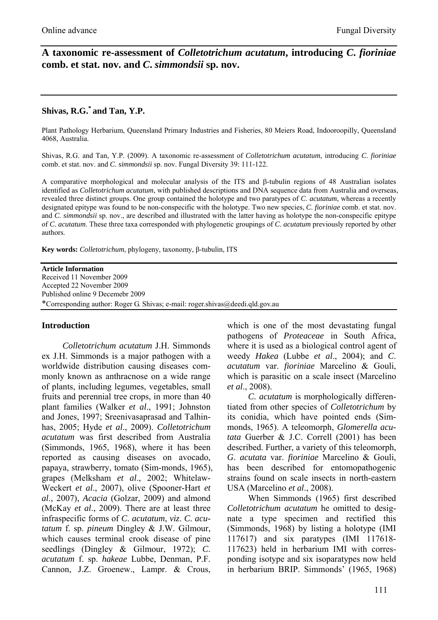## **A taxonomic re-assessment of** *Colletotrichum acutatum***, introducing** *C***.** *fioriniae*  **comb. et stat. nov. and** *C***.** *simmondsii* **sp. nov.**

# **Shivas, R.G.\* and Tan, Y.P.**

Plant Pathology Herbarium, Queensland Primary Industries and Fisheries, 80 Meiers Road, Indooroopilly, Queensland 4068, Australia.

Shivas, R.G. and Tan, Y.P. (2009). A taxonomic re-assessment of *Colletotrichum acutatum*, introducing *C*. *fioriniae* comb. et stat. nov. and *C*. *simmondsii* sp. nov. Fungal Diversity 39: 111-122.

A comparative morphological and molecular analysis of the ITS and β-tubulin regions of 48 Australian isolates identified as *Colletotrichum acutatum*, with published descriptions and DNA sequence data from Australia and overseas, revealed three distinct groups. One group contained the holotype and two paratypes of *C*. *acutatum*, whereas a recently designated epitype was found to be non-conspecific with the holotype. Two new species, *C*. *fioriniae* comb. et stat. nov. and *C*. *simmondsii* sp. nov., are described and illustrated with the latter having as holotype the non-conspecific epitype of *C*. *acutatum*. These three taxa corresponded with phylogenetic groupings of *C*. *acutatum* previously reported by other authors.

**Key words:** *Colletotrichum*, phylogeny, taxonomy, β-tubulin, ITS

**Article Information**  Received 11 November 2009 Accepted 22 November 2009 Published online 9 Decemebr 2009 \*Corresponding author: Roger G. Shivas; e-mail: roger.shivas@deedi.qld.gov.au

### **Introduction**

*Colletotrichum acutatum* J.H. Simmonds ex J.H. Simmonds is a major pathogen with a worldwide distribution causing diseases commonly known as anthracnose on a wide range of plants, including legumes, vegetables, small fruits and perennial tree crops, in more than 40 plant families (Walker *et al*., 1991; Johnston and Jones, 1997; Sreenivasaprasad and Talhinhas, 2005; Hyde *et al*., 2009). *Colletotrichum acutatum* was first described from Australia (Simmonds, 1965, 1968), where it has been reported as causing diseases on avocado, papaya, strawberry, tomato (Sim-monds, 1965), grapes (Melksham *et al*., 2002; Whitelaw-Weckert *et al*., 2007), olive (Spooner-Hart *et al*., 2007), *Acacia* (Golzar, 2009) and almond (McKay *et al*., 2009). There are at least three infraspecific forms of *C*. *acutatum*, *viz*. *C*. *acutatum* f. sp. *pineum* Dingley & J.W. Gilmour, which causes terminal crook disease of pine seedlings (Dingley & Gilmour, 1972); *C*. *acutatum* f. sp. *hakeae* Lubbe, Denman, P.F. Cannon, J.Z. Groenew., Lampr. & Crous,

which is one of the most devastating fungal pathogens of *Proteaceae* in South Africa, where it is used as a biological control agent of weedy *Hakea* (Lubbe *et al*., 2004); and *C*. *acutatum* var. *fioriniae* Marcelino & Gouli, which is parasitic on a scale insect (Marcelino *et al*., 2008).

*C*. *acutatum* is morphologically differentiated from other species of *Colletotrichum* by its conidia, which have pointed ends (Simmonds, 1965). A teleomorph, *Glomerella acutata* Guerber & J.C. Correll (2001) has been described. Further, a variety of this teleomorph, *G*. *acutata* var. *fioriniae* Marcelino & Gouli, has been described for entomopathogenic strains found on scale insects in north-eastern USA (Marcelino *et al*., 2008).

When Simmonds (1965) first described *Colletotrichum acutatum* he omitted to designate a type specimen and rectified this (Simmonds, 1968) by listing a holotype (IMI 117617) and six paratypes (IMI 117618- 117623) held in herbarium IMI with corresponding isotype and six isoparatypes now held in herbarium BRIP. Simmonds' (1965, 1968)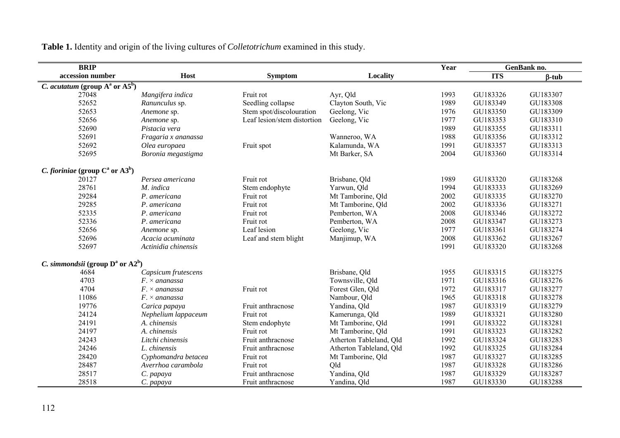| <b>BRIP</b>                                                |                             |                             |                         | Year | <b>GenBank no.</b> |              |
|------------------------------------------------------------|-----------------------------|-----------------------------|-------------------------|------|--------------------|--------------|
| accession number                                           | Host                        | <b>Symptom</b>              | Locality                |      | <b>ITS</b>         | $\beta$ -tub |
| C. acutatum (group $\overline{A^a}$ or $\overline{A5^b}$ ) |                             |                             |                         |      |                    |              |
| 27048                                                      | Mangifera indica            | Fruit rot                   | Ayr, Qld                | 1993 | GU183326           | GU183307     |
| 52652                                                      | Ranunculus sp.              | Seedling collapse           | Clayton South, Vic      | 1989 | GU183349           | GU183308     |
| 52653                                                      | Anemone sp.                 | Stem spot/discolouration    | Geelong, Vic            | 1976 | GU183350           | GU183309     |
| 52656                                                      | Anemone sp.                 | Leaf lesion/stem distortion | Geelong, Vic            | 1977 | GU183353           | GU183310     |
| 52690                                                      | Pistacia vera               |                             |                         | 1989 | GU183355           | GU183311     |
| 52691                                                      | Fragaria x ananassa         |                             | Wanneroo, WA            | 1988 | GU183356           | GU183312     |
| 52692                                                      | Olea europaea               | Fruit spot                  | Kalamunda, WA           | 1991 | GU183357           | GU183313     |
| 52695                                                      | Boronia megastigma          |                             | Mt Barker, SA           | 2004 | GU183360           | GU183314     |
| C. fioriniae (group $C^a$ or $(A3^b)$                      |                             |                             |                         |      |                    |              |
| 20127                                                      | Persea americana            | Fruit rot                   | Brisbane, Qld           | 1989 | GU183320           | GU183268     |
| 28761                                                      | M. indica                   | Stem endophyte              | Yarwun, Qld             | 1994 | GU183333           | GU183269     |
| 29284                                                      | P. americana                | Fruit rot                   | Mt Tamborine, Qld       | 2002 | GU183335           | GU183270     |
| 29285                                                      | P. americana                | Fruit rot                   | Mt Tamborine, Qld       | 2002 | GU183336           | GU183271     |
| 52335                                                      | P. americana                | Fruit rot                   | Pemberton, WA           | 2008 | GU183346           | GU183272     |
| 52336                                                      | P. americana                | Fruit rot                   | Pemberton, WA           | 2008 | GU183347           | GU183273     |
| 52656                                                      | Anemone sp.                 | Leaf lesion                 | Geelong, Vic            | 1977 | GU183361           | GU183274     |
| 52696                                                      | Acacia acuminata            | Leaf and stem blight        | Manjimup, WA            | 2008 | GU183362           | GU183267     |
| 52697                                                      | Actinidia chinensis         |                             |                         | 1991 | GU183320           | GU183268     |
| C. simmondsii (group $D^a$ or $A2^b$ )                     |                             |                             |                         |      |                    |              |
| 4684                                                       | Capsicum frutescens         |                             | Brisbane, Qld           | 1955 | GU183315           | GU183275     |
| 4703                                                       | $F \times \alpha$ nanassa   |                             | Townsville, Qld         | 1971 | GU183316           | GU183276     |
| 4704                                                       | $F_{\cdot} \times$ ananassa | Fruit rot                   | Forest Glen, Qld        | 1972 | GU183317           | GU183277     |
| 11086                                                      | $F \times \alpha$ nanassa   |                             | Nambour, Qld            | 1965 | GU183318           | GU183278     |
| 19776                                                      | Carica papaya               | Fruit anthracnose           | Yandina, Qld            | 1987 | GU183319           | GU183279     |
| 24124                                                      | Nephelium lappaceum         | Fruit rot                   | Kamerunga, Qld          | 1989 | GU183321           | GU183280     |
| 24191                                                      | A. chinensis                | Stem endophyte              | Mt Tamborine, Qld       | 1991 | GU183322           | GU183281     |
| 24197                                                      | A. chinensis                | Fruit rot                   | Mt Tamborine, Qld       | 1991 | GU183323           | GU183282     |
| 24243                                                      | Litchi chinensis            | Fruit anthracnose           | Atherton Tableland, Old | 1992 | GU183324           | GU183283     |
| 24246                                                      | L. chinensis                | Fruit anthracnose           | Atherton Tableland, Qld | 1992 | GU183325           | GU183284     |
| 28420                                                      | Cyphomandra betacea         | Fruit rot                   | Mt Tamborine, Qld       | 1987 | GU183327           | GU183285     |
| 28487                                                      | Averrhoa carambola          | Fruit rot                   | Old                     | 1987 | GU183328           | GU183286     |
| 28517                                                      | C. papaya                   | Fruit anthracnose           | Yandina, Qld            | 1987 | GU183329           | GU183287     |
| 28518                                                      | C. papaya                   | Fruit anthracnose           | Yandina, Qld            | 1987 | GU183330           | GU183288     |

**Table 1.** Identity and origin of the living cultures of *Colletotrichum* examined in this study.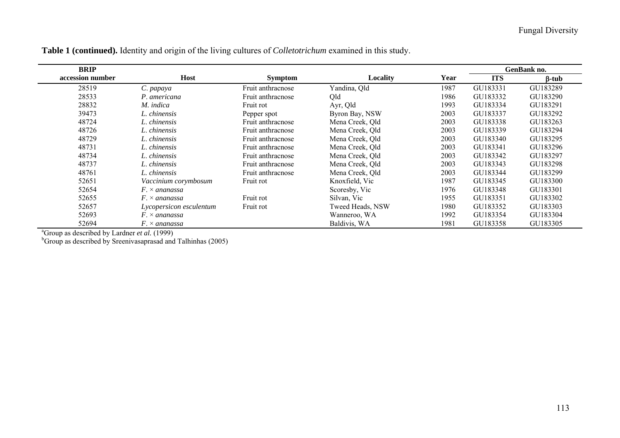| <b>BRIP</b>      |                                                      |                   |                  |      | GenBank no. |              |
|------------------|------------------------------------------------------|-------------------|------------------|------|-------------|--------------|
| accession number | Host                                                 | <b>Symptom</b>    | Locality         | Year | <b>ITS</b>  | $\beta$ -tub |
| 28519            | C. papaya                                            | Fruit anthracnose | Yandina, Qld     | 1987 | GU183331    | GU183289     |
| 28533            | P. americana                                         | Fruit anthracnose | Qld              | 1986 | GU183332    | GU183290     |
| 28832            | M. indica                                            | Fruit rot         | Ayr, Qld         | 1993 | GU183334    | GU183291     |
| 39473            | L. chinensis                                         | Pepper spot       | Byron Bay, NSW   | 2003 | GU183337    | GU183292     |
| 48724            | L. chinensis                                         | Fruit anthracnose | Mena Creek, Qld  | 2003 | GU183338    | GU183263     |
| 48726            | L. chinensis                                         | Fruit anthracnose | Mena Creek, Old  | 2003 | GU183339    | GU183294     |
| 48729            | L. chinensis                                         | Fruit anthracnose | Mena Creek, Old  | 2003 | GU183340    | GU183295     |
| 48731            | L. chinensis                                         | Fruit anthracnose | Mena Creek, Old  | 2003 | GU183341    | GU183296     |
| 48734            | L. chinensis                                         | Fruit anthracnose | Mena Creek, Old  | 2003 | GU183342    | GU183297     |
| 48737            | L. chinensis                                         | Fruit anthracnose | Mena Creek, Qld  | 2003 | GU183343    | GU183298     |
| 48761            | L. chinensis                                         | Fruit anthracnose | Mena Creek, Old  | 2003 | GU183344    | GU183299     |
| 52651            | Vaccinium corymbosum                                 | Fruit rot         | Knoxfield, Vic   | 1987 | GU183345    | GU183300     |
| 52654            | $F \times \alpha$ and and a set of $\alpha$          |                   | Scoresby, Vic    | 1976 | GU183348    | GU183301     |
| 52655            | $F \times \alpha$ and and a set of $\alpha$          | Fruit rot         | Silvan, Vic      | 1955 | GU183351    | GU183302     |
| 52657            | Lycopersicon esculentum                              | Fruit rot         | Tweed Heads, NSW | 1980 | GU183352    | GU183303     |
| 52693            | $F_{\cdot} \times$ ananassa                          |                   | Wanneroo, WA     | 1992 | GU183354    | GU183304     |
| 52694            | $F \times \alpha$ and and ssatisfy a set of $\alpha$ |                   | Baldivis, WA     | 1981 | GU183358    | GU183305     |

**Table 1 (continued).** Identity and origin of the living cultures of *Colletotrichum* examined in this study.

aGroup as described by Lardner *et al.* (1999)

 $b$ Group as described by Sreenivasaprasad and Talhinhas (2005)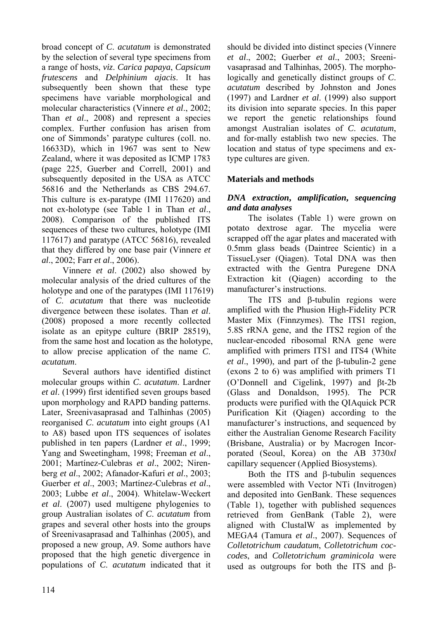broad concept of *C*. *acutatum* is demonstrated by the selection of several type specimens from a range of hosts, *viz*. *Carica papaya*, *Capsicum frutescens* and *Delphinium ajacis*. It has subsequently been shown that these type specimens have variable morphological and molecular characteristics (Vinnere *et al*., 2002; Than *et al*., 2008) and represent a species complex. Further confusion has arisen from one of Simmonds' paratype cultures (coll. no. 16633D), which in 1967 was sent to New Zealand, where it was deposited as ICMP 1783 (page 225, Guerber and Correll, 2001) and subsequently deposited in the USA as ATCC 56816 and the Netherlands as CBS 294.67. This culture is ex-paratype (IMI 117620) and not ex-holotype (see Table 1 in Than *et al*., 2008). Comparison of the published ITS sequences of these two cultures, holotype (IMI 117617) and paratype (ATCC 56816), revealed that they differed by one base pair (Vinnere *et al*., 2002; Farr *et al*., 2006).

Vinnere *et al*. (2002) also showed by molecular analysis of the dried cultures of the holotype and one of the paratypes (IMI 117619) of *C*. *acutatum* that there was nucleotide divergence between these isolates. Than *et al*. (2008) proposed a more recently collected isolate as an epitype culture (BRIP 28519), from the same host and location as the holotype, to allow precise application of the name *C*. *acutatum*.

Several authors have identified distinct molecular groups within *C*. *acutatum*. Lardner *et al*. (1999) first identified seven groups based upon morphology and RAPD banding patterns. Later, Sreenivasaprasad and Talhinhas (2005) reorganised *C*. *acutatum* into eight groups (A1 to A8) based upon ITS sequences of isolates published in ten papers (Lardner *et al*., 1999; Yang and Sweetingham, 1998; Freeman *et al*., 2001; Martínez-Culebras *et al*., 2002; Nirenberg *et al*., 2002; Afanador-Kafuri *et al*., 2003; Guerber *et al*., 2003; Martínez-Culebras *et al*., 2003; Lubbe *et al*., 2004). Whitelaw-Weckert *et al*. (2007) used multigene phylogenies to group Australian isolates of *C*. *acutatum* from grapes and several other hosts into the groups of Sreenivasaprasad and Talhinhas (2005), and proposed a new group, A9. Some authors have proposed that the high genetic divergence in populations of *C*. *acutatum* indicated that it

should be divided into distinct species (Vinnere *et al*., 2002; Guerber *et al*., 2003; Sreenivasaprasad and Talhinhas, 2005). The morphologically and genetically distinct groups of *C*. *acutatum* described by Johnston and Jones (1997) and Lardner *et al*. (1999) also support its division into separate species. In this paper we report the genetic relationships found amongst Australian isolates of *C*. *acutatum*, and for-mally establish two new species. The location and status of type specimens and extype cultures are given.

### **Materials and methods**

### *DNA extraction***,** *amplification***,** *sequencing and data analyses*

The isolates (Table 1) were grown on potato dextrose agar. The mycelia were scrapped off the agar plates and macerated with 0.5mm glass beads (Daintree Scientic) in a TissueLyser (Qiagen). Total DNA was then extracted with the Gentra Puregene DNA Extraction kit (Qiagen) according to the manufacturer's instructions.

The ITS and β-tubulin regions were amplified with the Phusion High-Fidelity PCR Master Mix (Finnzymes). The ITS1 region. 5.8S rRNA gene, and the ITS2 region of the nuclear-encoded ribosomal RNA gene were amplified with primers ITS1 and ITS4 (White *et al*., 1990), and part of the β-tubulin-2 gene (exons 2 to 6) was amplified with primers T1 (O'Donnell and Cigelink, 1997) and βt-2b (Glass and Donaldson, 1995). The PCR products were purified with the QIAquick PCR Purification Kit (Qiagen) according to the manufacturer's instructions, and sequenced by either the Australian Genome Research Facility (Brisbane, Australia) or by Macrogen Incorporated (Seoul, Korea) on the AB 3730*xl* capillary sequencer (Applied Biosystems).

Both the ITS and β-tubulin sequences were assembled with Vector NTi (Invitrogen) and deposited into GenBank. These sequences (Table 1), together with published sequences retrieved from GenBank (Table 2), were aligned with ClustalW as implemented by MEGA4 (Tamura *et al*., 2007). Sequences of *Colletotrichum caudatum*, *Colletotrichum coccodes*, and *Colletotrichum graminicola* were used as outgroups for both the ITS and β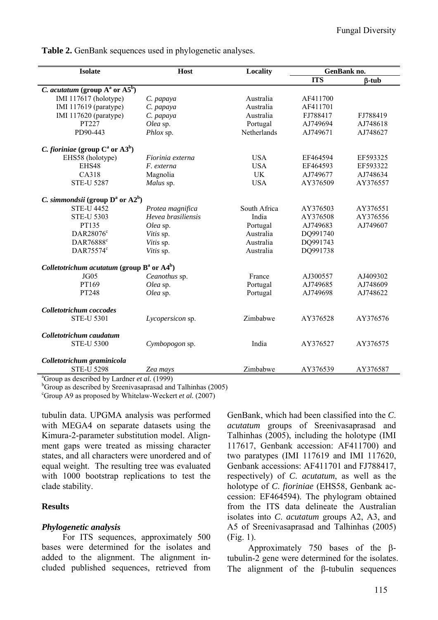**Table 2.** GenBank sequences used in phylogenetic analyses.

| <b>Isolate</b>                                       | <b>Host</b>        | <b>Locality</b> | GenBank no. |              |  |  |  |
|------------------------------------------------------|--------------------|-----------------|-------------|--------------|--|--|--|
|                                                      |                    |                 | <b>ITS</b>  | $\beta$ -tub |  |  |  |
| <i>C. acutatum</i> (group $A^a$ or $A5^b$ )          |                    |                 |             |              |  |  |  |
| IMI 117617 (holotype)                                | C. papaya          | Australia       | AF411700    |              |  |  |  |
| IMI 117619 (paratype)                                | C. papaya          | Australia       | AF411701    |              |  |  |  |
| IMI 117620 (paratype)                                | C. papaya          | Australia       | FJ788417    | FJ788419     |  |  |  |
| PT227                                                | Olea sp.           | Portugal        | AJ749694    | AJ748618     |  |  |  |
| PD90-443                                             | Phlox sp.          | Netherlands     | AJ749671    | AJ748627     |  |  |  |
| <i>C. fioriniae</i> (group $C^a$ or $(A3^b)$ )       |                    |                 |             |              |  |  |  |
| EHS58 (holotype)                                     | Fiorinia externa   | <b>USA</b>      | EF464594    | EF593325     |  |  |  |
| EHS48                                                | F. externa         | <b>USA</b>      | EF464593    | EF593322     |  |  |  |
| CA318                                                | Magnolia           | <b>UK</b>       | AJ749677    | AJ748634     |  |  |  |
| <b>STE-U 5287</b>                                    | Malus sp.          | <b>USA</b>      | AY376509    | AY376557     |  |  |  |
| <i>C. simmondsii</i> (group $D^a$ or $A2^b$ )        |                    |                 |             |              |  |  |  |
| <b>STE-U 4452</b>                                    | Protea magnifica   | South Africa    | AY376503    | AY376551     |  |  |  |
| <b>STE-U 5303</b>                                    | Hevea brasiliensis | India           | AY376508    | AY376556     |  |  |  |
| PT135                                                | Olea sp.           | Portugal        | AJ749683    | AJ749607     |  |  |  |
| DAR28076 <sup>c</sup>                                | Vitis sp.          | Australia       | DQ991740    |              |  |  |  |
| DAR76888 <sup>c</sup>                                | Vitis sp.          | Australia       | DQ991743    |              |  |  |  |
| DAR75574°                                            | Vitis sp.          | Australia       | DQ991738    |              |  |  |  |
| Colletotrichum acutatum (group $B^a$ or $A4^b$ )     |                    |                 |             |              |  |  |  |
| JG05                                                 | Ceanothus sp.      | France          | AJ300557    | AJ409302     |  |  |  |
| PT169                                                | Olea sp.           | Portugal        | AJ749685    | AJ748609     |  |  |  |
| PT248                                                | Olea sp.           | Portugal        | AJ749698    | AJ748622     |  |  |  |
| Colletotrichum coccodes                              |                    |                 |             |              |  |  |  |
| <b>STE-U 5301</b>                                    | Lycopersicon sp.   | Zimbabwe        | AY376528    | AY376576     |  |  |  |
| Colletotrichum caudatum                              |                    |                 |             |              |  |  |  |
| <b>STE-U 5300</b>                                    | Cymbopogon sp.     | India           | AY376527    | AY376575     |  |  |  |
| Colletotrichum graminicola                           |                    |                 |             |              |  |  |  |
| <b>STE-U 5298</b>                                    | Zea mays           | Zimbabwe        | AY376539    | AY376587     |  |  |  |
| $^{8}C$ roun as described by Lerdner at al. $(1000)$ |                    |                 |             |              |  |  |  |

Group as described by Lardner *et al.* (1999)

<sup>b</sup>Group as described by Sreenivasaprasad and Talhinhas (2005)

c Group A9 as proposed by Whitelaw-Weckert *et al.* (2007)

tubulin data. UPGMA analysis was performed with MEGA4 on separate datasets using the Kimura-2-parameter substitution model. Alignment gaps were treated as missing character states, and all characters were unordered and of equal weight. The resulting tree was evaluated with 1000 bootstrap replications to test the clade stability.

#### **Results**

#### *Phylogenetic analysis*

For ITS sequences, approximately 500 bases were determined for the isolates and added to the alignment. The alignment included published sequences, retrieved from GenBank, which had been classified into the *C*. *acutatum* groups of Sreenivasaprasad and Talhinhas (2005), including the holotype (IMI 117617, Genbank accession: AF411700) and two paratypes (IMI 117619 and IMI 117620, Genbank accessions: AF411701 and FJ788417, respectively) of *C*. *acutatum*, as well as the holotype of *C*. *fioriniae* (EHS58, Genbank accession: EF464594). The phylogram obtained from the ITS data delineate the Australian isolates into *C*. *acutatum* groups A2, A3, and A5 of Sreenivasaprasad and Talhinhas (2005) (Fig. 1).

Approximately 750 bases of the βtubulin-2 gene were determined for the isolates. The alignment of the β-tubulin sequences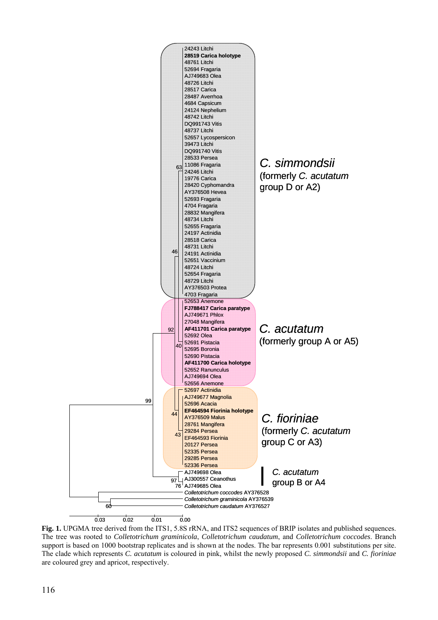

**Fig. 1.** UPGMA tree derived from the ITS1, 5.8S rRNA, and ITS2 sequences of BRIP isolates and published sequences. The tree was rooted to *Colletotrichum graminicola*, *Colletotrichum caudatum*, and *Colletotrichum coccodes*. Branch support is based on 1000 bootstrap replicates and is shown at the nodes. The bar represents 0.001 substitutions per site. The clade which represents *C. acutatum* is coloured in pink, whilst the newly proposed *C. simmondsii* and *C. fioriniae* are coloured grey and apricot, respectively.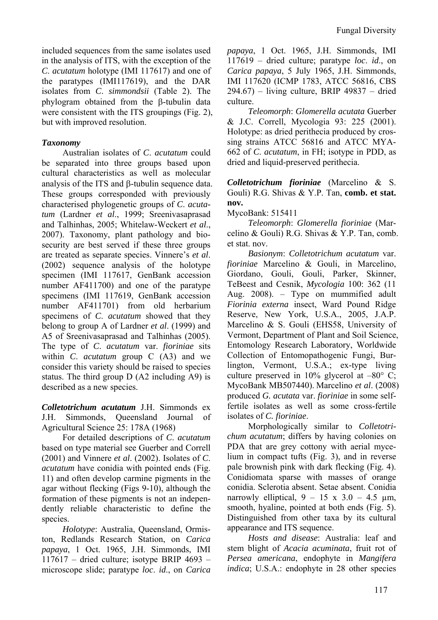included sequences from the same isolates used in the analysis of ITS, with the exception of the *C*. *acutatum* holotype (IMI 117617) and one of the paratypes (IMI117619), and the DAR isolates from *C*. *simmondsii* (Table 2). The phylogram obtained from the β-tubulin data were consistent with the ITS groupings (Fig. 2), but with improved resolution.

### *Taxonomy*

Australian isolates of *C*. *acutatum* could be separated into three groups based upon cultural characteristics as well as molecular analysis of the ITS and β-tubulin sequence data. These groups corresponded with previously characterised phylogenetic groups of *C*. *acutatum* (Lardner *et al*., 1999; Sreenivasaprasad and Talhinhas, 2005; Whitelaw-Weckert *et al*., 2007). Taxonomy, plant pathology and biosecurity are best served if these three groups are treated as separate species. Vinnere's *et al*. (2002) sequence analysis of the holotype specimen (IMI 117617, GenBank accession number AF411700) and one of the paratype specimens (IMI 117619, GenBank accession number AF411701) from old herbarium specimens of *C*. *acutatum* showed that they belong to group A of Lardner *et al*. (1999) and A5 of Sreenivasaprasad and Talhinhas (2005). The type of *C*. *acutatum* var. *fioriniae* sits within *C*. *acutatum* group C (A3) and we consider this variety should be raised to species status. The third group D (A2 including A9) is described as a new species.

*Colletotrichum acutatum* J.H. Simmonds ex J.H. Simmonds, Queensland Journal of Agricultural Science 25: 178A (1968)

For detailed descriptions of *C*. *acutatum*  based on type material see Guerber and Correll (2001) and Vinnere *et al*. (2002). Isolates of *C*. *acutatum* have conidia with pointed ends (Fig. 11) and often develop carmine pigments in the agar without flecking (Figs 9-10), although the formation of these pigments is not an independently reliable characteristic to define the species.

*Holotype*: Australia, Queensland, Ormiston, Redlands Research Station, on *Carica papaya*, 1 Oct. 1965, J.H. Simmonds, IMI 117617 – dried culture; isotype BRIP 4693 – microscope slide; paratype *loc*. *id*., on *Carica*  *papaya*, 1 Oct. 1965, J.H. Simmonds, IMI 117619 – dried culture; paratype *loc*. *id*., on *Carica papaya*, 5 July 1965, J.H. Simmonds, IMI 117620 (ICMP 1783, ATCC 56816, CBS 294.67) – living culture, BRIP 49837 – dried culture.

*Teleomorph*: *Glomerella acutata* Guerber & J.C. Correll, Mycologia 93: 225 (2001). Holotype: as dried perithecia produced by crossing strains ATCC 56816 and ATCC MYA-662 of *C*. *acutatum*, in FH; isotype in PDD, as dried and liquid-preserved perithecia.

### *Colletotrichum fioriniae* (Marcelino & S. Gouli) R.G. Shivas & Y.P. Tan, **comb. et stat. nov.**

#### MycoBank: 515411

*Teleomorph*: *Glomerella fioriniae* (Marcelino & Gouli) R.G. Shivas & Y.P. Tan, comb. et stat. nov.

*Basionym*: *Colletotrichum acutatum* var. *fioriniae* Marcelino & Gouli, in Marcelino, Giordano, Gouli, Gouli, Parker, Skinner, TeBeest and Cesnik, *Mycologia* 100: 362 (11 Aug. 2008). – Type on mummified adult *Fiorinia externa* insect, Ward Pound Ridge Reserve, New York, U.S.A., 2005, J.A.P. Marcelino & S. Gouli (EHS58, University of Vermont, Department of Plant and Soil Science, Entomology Research Laboratory, Worldwide Collection of Entomopathogenic Fungi, Burlington, Vermont, U.S.A.; ex-type living culture preserved in  $10\%$  glycerol at  $-80^{\circ}$  C: MycoBank MB507440). Marcelino *et al*. (2008) produced *G. acutata* var. *fioriniae* in some selffertile isolates as well as some cross-fertile isolates of *C. fioriniae*.

Morphologically similar to *Colletotrichum acutatum*; differs by having colonies on PDA that are grey cottony with aerial mycelium in compact tufts (Fig. 3), and in reverse pale brownish pink with dark flecking (Fig. 4). Conidiomata sparse with masses of orange conidia. Sclerotia absent. Setae absent. Conidia narrowly elliptical,  $9 - 15 \times 3.0 - 4.5 \text{ µm}$ , smooth, hyaline, pointed at both ends (Fig. 5). Distinguished from other taxa by its cultural appearance and ITS sequence.

*Hosts and disease*: Australia: leaf and stem blight of *Acacia acuminata*, fruit rot of *Persea americana*, endophyte in *Mangifera indica*; U.S.A.: endophyte in 28 other species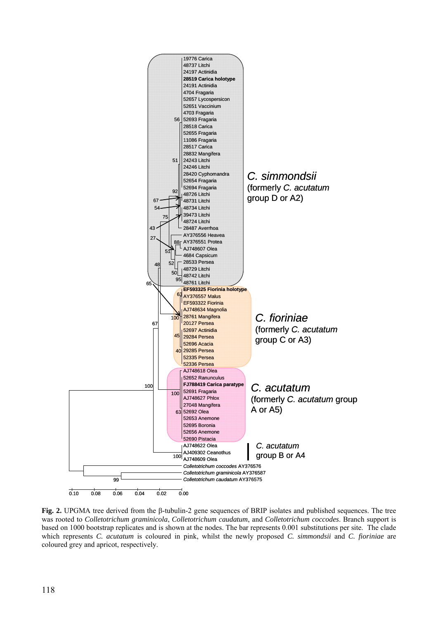

**Fig. 2.** UPGMA tree derived from the β-tubulin-2 gene sequences of BRIP isolates and published sequences. The tree was rooted to *Colletotrichum graminicola*, *Colletotrichum caudatum*, and *Colletotrichum coccodes*. Branch support is based on 1000 bootstrap replicates and is shown at the nodes. The bar represents 0.001 substitutions per site. The clade which represents *C. acutatum* is coloured in pink, whilst the newly proposed *C. simmondsii* and *C. fioriniae* are coloured grey and apricot, respectively.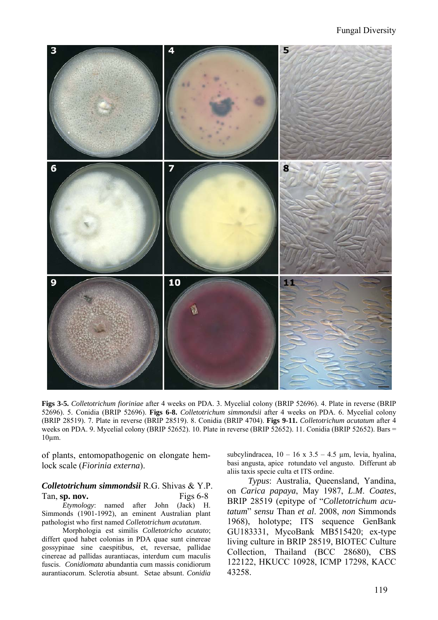#### Fungal Diversity



**Figs 3-5.** *Colletotrichum fioriniae* after 4 weeks on PDA. 3. Mycelial colony (BRIP 52696). 4. Plate in reverse (BRIP 52696). 5. Conidia (BRIP 52696). **Figs 6-8.** *Colletotrichum simmondsii* after 4 weeks on PDA. 6. Mycelial colony (BRIP 28519). 7. Plate in reverse (BRIP 28519). 8. Conidia (BRIP 4704). **Figs 9-11.** *Colletotrichum acutatum* after 4 weeks on PDA. 9. Mycelial colony (BRIP 52652). 10. Plate in reverse (BRIP 52652). 11. Conidia (BRIP 52652). Bars = 10µm.

of plants, entomopathogenic on elongate hemlock scale (*Fiorinia externa*).

#### *Colletotrichum simmondsii* R.G. Shivas & Y.P. Tan, **sp. nov.** Figs 6-8

*Etymology*: named after John (Jack) H. Simmonds (1901-1992), an eminent Australian plant pathologist who first named *Colletotrichum acutatum*.

Morphologia est similis *Colletotricho acutato*; differt quod habet colonias in PDA quae sunt cinereae gossypinae sine caespitibus, et, reversae, pallidae cinereae ad pallidas aurantiacas, interdum cum maculis fuscis. *Conidiomata* abundantia cum massis conidiorum aurantiacorum. Sclerotia absunt. Setae absunt. *Conidia* subcylindracea,  $10 - 16 \times 3.5 - 4.5 \mu m$ , levia, hyalina, basi angusta, apice rotundato vel angusto. Differunt ab aliis taxis specie culta et ITS ordine.

*Typus*: Australia, Queensland, Yandina, on *Carica papaya*, May 1987, *L*.*M*. *Coates*, BRIP 28519 (epitype of "*Colletotrichum acutatum*" *sensu* Than *et al*. 2008, *non* Simmonds 1968), holotype; ITS sequence GenBank GU183331, MycoBank MB515420; ex-type living culture in BRIP 28519, BIOTEC Culture Collection, Thailand (BCC 28680), CBS 122122, HKUCC 10928, ICMP 17298, KACC 43258.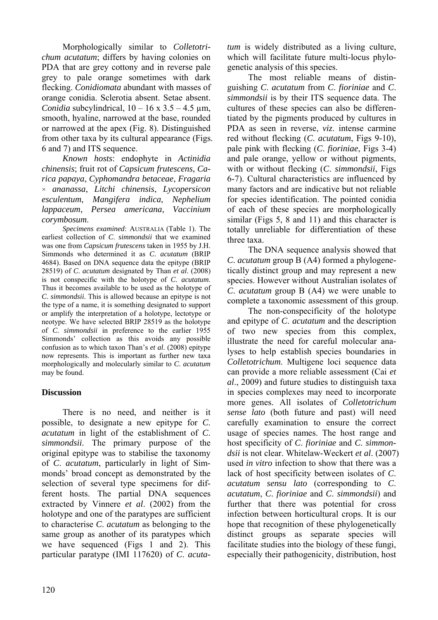Morphologically similar to *Colletotrichum acutatum*; differs by having colonies on PDA that are grey cottony and in reverse pale grey to pale orange sometimes with dark flecking. *Conidiomata* abundant with masses of orange conidia. Sclerotia absent. Setae absent. *Conidia* subcylindrical,  $10 - 16 \times 3.5 - 4.5 \mu m$ , smooth, hyaline, narrowed at the base, rounded or narrowed at the apex (Fig. 8). Distinguished from other taxa by its cultural appearance (Figs. 6 and 7) and ITS sequence.

*Known hosts*: endophyte in *Actinidia chinensis*; fruit rot of *Capsicum frutescens*, *Carica papaya*, *Cyphomandra betaceae*, *Fragaria*  × *ananassa*, *Litchi chinensis*, *Lycopersicon esculentum*, *Mangifera indica*, *Nephelium lappaceum*, *Persea americana*, *Vaccinium corymbosum*.

*Specimens examined*: AUSTRALIA (Table 1). The earliest collection of *C*. *simmondsii* that we examined was one from *Capsicum frutescens* taken in 1955 by J.H. Simmonds who determined it as *C*. *acutatum* (BRIP 4684). Based on DNA sequence data the epitype (BRIP 28519) of *C*. *acutatum* designated by Than *et al*. (2008) is not conspecific with the holotype of *C*. *acutatum*. Thus it becomes available to be used as the holotype of *C*. *simmondsii*. This is allowed because an epitype is not the type of a name, it is something designated to support or amplify the interpretation of a holotype, lectotype or neotype. We have selected BRIP 28519 as the holotype of *C*. *simmondsii* in preference to the earlier 1955 Simmonds' collection as this avoids any possible confusion as to which taxon Than's *et al*. (2008) epitype now represents. This is important as further new taxa morphologically and molecularly similar to *C*. *acutatum*  may be found.

### **Discussion**

There is no need, and neither is it possible, to designate a new epitype for *C*. *acutatum* in light of the establishment of *C*. *simmondsii*. The primary purpose of the original epitype was to stabilise the taxonomy of *C*. *acutatum*, particularly in light of Simmonds' broad concept as demonstrated by the selection of several type specimens for different hosts. The partial DNA sequences extracted by Vinnere *et al*. (2002) from the holotype and one of the paratypes are sufficient to characterise *C*. *acutatum* as belonging to the same group as another of its paratypes which we have sequenced (Figs 1 and 2). This particular paratype (IMI 117620) of *C*. *acuta-* *tum* is widely distributed as a living culture, which will facilitate future multi-locus phylogenetic analysis of this species.

The most reliable means of distinguishing *C*. *acutatum* from *C*. *fioriniae* and *C*. *simmondsii* is by their ITS sequence data. The cultures of these species can also be differentiated by the pigments produced by cultures in PDA as seen in reverse, *viz*. intense carmine red without flecking (*C*. *acutatum*, Figs 9-10), pale pink with flecking (*C*. *fioriniae*, Figs 3-4) and pale orange, yellow or without pigments, with or without flecking (*C*. *simmondsii*, Figs 6-7). Cultural characteristics are influenced by many factors and are indicative but not reliable for species identification. The pointed conidia of each of these species are morphologically similar (Figs 5, 8 and 11) and this character is totally unreliable for differentiation of these three taxa.

The DNA sequence analysis showed that *C*. *acutatum* group B (A4) formed a phylogenetically distinct group and may represent a new species. However without Australian isolates of *C*. *acutatum* group B (A4) we were unable to complete a taxonomic assessment of this group.

The non-conspecificity of the holotype and epitype of *C*. *acutatum* and the description of two new species from this complex, illustrate the need for careful molecular analyses to help establish species boundaries in *Colletotrichum*. Multigene loci sequence data can provide a more reliable assessment (Cai *et al*., 2009) and future studies to distinguish taxa in species complexes may need to incorporate more genes. All isolates of *Colletotrichum sense lato* (both future and past) will need carefully examination to ensure the correct usage of species names. The host range and host specificity of *C*. *fioriniae* and *C*. *simmondsii* is not clear. Whitelaw-Weckert *et al*. (2007) used *in vitro* infection to show that there was a lack of host specificity between isolates of *C*. *acutatum sensu lato* (corresponding to *C*. *acutatum*, *C*. *fioriniae* and *C*. *simmondsii*) and further that there was potential for cross infection between horticultural crops. It is our hope that recognition of these phylogenetically distinct groups as separate species will facilitate studies into the biology of these fungi, especially their pathogenicity, distribution, host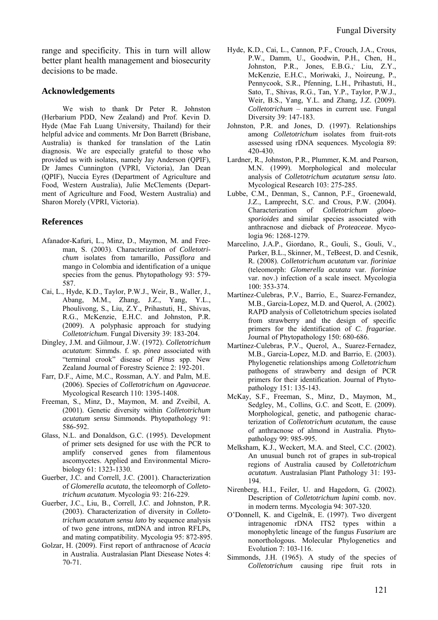range and specificity. This in turn will allow better plant health management and biosecurity decisions to be made.

#### **Acknowledgements**

We wish to thank Dr Peter R. Johnston (Herbarium PDD, New Zealand) and Prof. Kevin D. Hyde (Mae Fah Luang University, Thailand) for their helpful advice and comments. Mr Don Barrett (Brisbane, Australia) is thanked for translation of the Latin diagnosis. We are especially grateful to those who provided us with isolates, namely Jay Anderson (QPIF), Dr James Cunnington (VPRI, Victoria), Jan Dean (QPIF), Nuccia Eyres (Department of Agriculture and Food, Western Australia), Julie McClements (Department of Agriculture and Food, Western Australia) and Sharon Morely (VPRI, Victoria).

#### **References**

- Afanador-Kafuri, L., Minz, D., Maymon, M. and Freeman, S. (2003). Characterization of *Colletotrichum* isolates from tamarillo, *Passiflora* and mango in Colombia and identification of a unique species from the genus. Phytopathology 93: 579- 587.
- Cai, L., Hyde, K.D., Taylor, P.W.J., Weir, B., Waller, J., Abang, M.M., Zhang, J.Z., Yang, Y.L., Phoulivong, S., Liu, Z.Y., Prihastuti, H., Shivas, R.G., McKenzie, E.H.C. and Johnston, P.R. (2009). A polyphasic approach for studying *Colletotrichum*. Fungal Diversity 39: 183-204.
- Dingley, J.M. and Gilmour, J.W. (1972). *Colletotrichum acutatum*: Simmds. f. sp. *pinea* associated with "terminal crook" disease of *Pinus* spp. New Zealand Journal of Forestry Science 2: 192-201.
- Farr, D.F., Aime, M.C., Rossman, A.Y. and Palm, M.E. (2006). Species of *Colletotrichum* on *Agavaceae*. Mycological Research 110: 1395-1408.
- Freeman, S., Minz, D., Maymon, M. and Zveibil, A. (2001). Genetic diversity within *Colletotrichum acutatum sensu* Simmonds. Phytopathology 91: 586-592.
- Glass, N.L. and Donaldson, G.C. (1995). Development of primer sets designed for use with the PCR to amplify conserved genes from filamentous ascomycetes. Applied and Environmental Microbiology 61: 1323-1330.
- Guerber, J.C. and Correll, J.C. (2001). Characterization of *Glomerella acutata*, the teleomorph of *Colletotrichum acutatum*. Mycologia 93: 216-229.
- Guerber, J.C., Liu, B., Correll, J.C. and Johnston, P.R. (2003). Characterization of diversity in *Colletotrichum acutatum sensu lato* by sequence analysis of two gene introns, mtDNA and intron RFLPs, and mating compatibility. Mycologia 95: 872-895.
- Golzar, H. (2009). First report of anthracnose of *Acacia* in Australia. Australasian Plant Diesease Notes 4: 70-71.
- Hyde, K.D., Cai, L., Cannon, P.F., Crouch, J.A., Crous, P.W., Damm, U., Goodwin, P.H., Chen, H., Johnston, P.R., Jones, E.B.G.,<sup>,</sup> Liu, Z.Y., McKenzie, E.H.C., Moriwaki, J., Noireung, P., Pennycook, S.R., Pfenning, L.H., Prihastuti, H., Sato, T., Shivas, R.G., Tan, Y.P., Taylor, P.W.J., Weir, B.S., Yang, Y.L. and Zhang, J.Z. (2009). *Colletotrichum* – names in current use. Fungal Diversity 39: 147-183.
- Johnston, P.R. and Jones, D. (1997). Relationships among *Colletotrichum* isolates from fruit-rots assessed using rDNA sequences. Mycologia 89: 420-430.
- Lardner, R., Johnston, P.R., Plummer, K.M. and Pearson, M.N. (1999). Morphological and molecular analysis of *Colletotrichum acutatum sensu lato*. Mycological Research 103: 275-285.
- Lubbe, C.M., Denman, S., Cannon, P.F., Groenewald, J.Z., Lamprecht, S.C. and Crous, P.W. (2004). Characterization of *Colletotrichum gloeosporioides* and similar species associated with anthracnose and dieback of *Proteaceae*. Mycologia 96: 1268-1279.
- Marcelino, J.A.P., Giordano, R., Gouli, S., Gouli, V., Parker, B.L., Skinner, M., TeBeest, D. and Cesnik, R. (2008). *Colletotrichum acutatum* var. *fioriniae*  (teleomorph: *Glomerella acutata* var. *fioriniae* var. nov.) infection of a scale insect. Mycologia 100: 353-374.
- Martínez-Culebras, P.V., Barrio, E., Suarez-Fernandez, M.B., Garcia-Lopez, M.D. and Querol, A. (2002). RAPD analysis of Colletotrichum species isolated from strawberry and the design of specific primers for the identification of *C*. *fragariae*. Journal of Phytopathology 150: 680-686.
- Martínez-Culebras, P.V., Querol, A., Suarez-Fernadez, M.B., Garcia-Lopez, M.D. and Barrio, E. (2003). Phylogenetic relationships among *Colletotrichum* pathogens of strawberry and design of PCR primers for their identification. Journal of Phytopathology 151: 135-143.
- McKay, S.F., Freeman, S., Minz, D., Maymon, M., Sedgley, M., Collins, G.C. and Scott, E. (2009). Morphological, genetic, and pathogenic characterization of *Colletotrichum acutatum*, the cause of anthracnose of almond in Australia. Phytopathology 99: 985-995.
- Melksham, K.J., Weckert, M.A. and Steel, C.C. (2002). An unusual bunch rot of grapes in sub-tropical regions of Australia caused by *Colletotrichum acutatum*. Australasian Plant Pathology 31: 193- 194.
- Nirenberg, H.I., Feiler, U. and Hagedorn, G. (2002). Description of *Colletotrichum lupini* comb. nov. in modern terms. Mycologia 94: 307-320.
- O'Donnell, K. and Cigelnik, E. (1997). Two divergent intragenomic rDNA ITS2 types within a monophyletic lineage of the fungus *Fusarium* are nonorthologous. Molecular Phylogenetics and Evolution 7: 103-116.
- Simmonds, J.H. (1965). A study of the species of *Colletotrichum* causing ripe fruit rots in